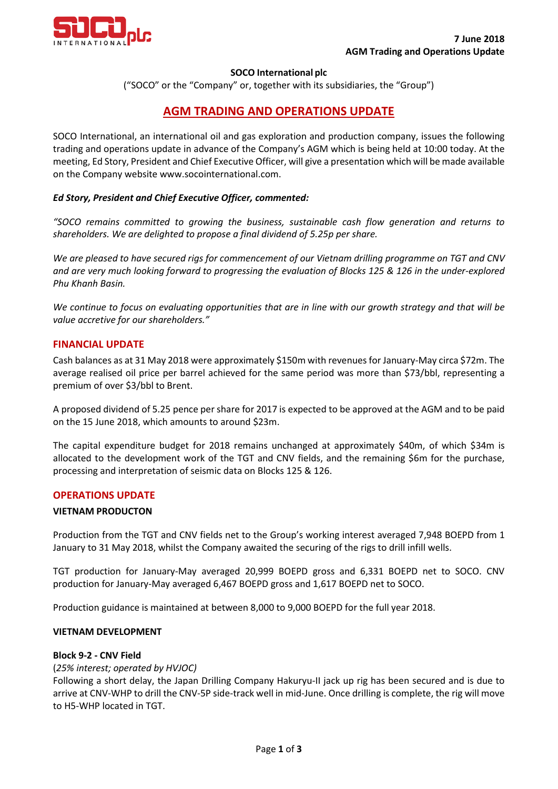

### **SOCO International plc**

("SOCO" or the "Company" or, together with its subsidiaries, the "Group")

# **AGM TRADING AND OPERATIONS UPDATE**

SOCO International, an international oil and gas exploration and production company, issues the following trading and operations update in advance of the Company's AGM which is being held at 10:00 today. At the meeting, Ed Story, President and Chief Executive Officer, will give a presentation which will be made available on the Company website www.socointernational.com.

### *Ed Story, President and Chief Executive Officer, commented:*

*"SOCO remains committed to growing the business, sustainable cash flow generation and returns to shareholders. We are delighted to propose a final dividend of 5.25p per share.* 

*We are pleased to have secured rigs for commencement of our Vietnam drilling programme on TGT and CNV and are very much looking forward to progressing the evaluation of Blocks 125 & 126 in the under-explored Phu Khanh Basin.* 

*We continue to focus on evaluating opportunities that are in line with our growth strategy and that will be value accretive for our shareholders."*

## **FINANCIAL UPDATE**

Cash balances as at 31 May 2018 were approximately \$150m with revenues for January-May circa \$72m. The average realised oil price per barrel achieved for the same period was more than \$73/bbl, representing a premium of over \$3/bbl to Brent.

A proposed dividend of 5.25 pence per share for 2017 is expected to be approved at the AGM and to be paid on the 15 June 2018, which amounts to around \$23m.

The capital expenditure budget for 2018 remains unchanged at approximately \$40m, of which \$34m is allocated to the development work of the TGT and CNV fields, and the remaining \$6m for the purchase, processing and interpretation of seismic data on Blocks 125 & 126.

### **OPERATIONS UPDATE**

### **VIETNAM PRODUCTON**

Production from the TGT and CNV fields net to the Group's working interest averaged 7,948 BOEPD from 1 January to 31 May 2018, whilst the Company awaited the securing of the rigs to drill infill wells.

TGT production for January-May averaged 20,999 BOEPD gross and 6,331 BOEPD net to SOCO. CNV production for January-May averaged 6,467 BOEPD gross and 1,617 BOEPD net to SOCO.

Production guidance is maintained at between 8,000 to 9,000 BOEPD for the full year 2018.

### **VIETNAM DEVELOPMENT**

### **Block 9-2 - CNV Field**

#### (*25% interest; operated by HVJOC)*

Following a short delay, the Japan Drilling Company Hakuryu-II jack up rig has been secured and is due to arrive at CNV-WHP to drill the CNV-5P side-track well in mid-June. Once drilling is complete, the rig will move to H5-WHP located in TGT.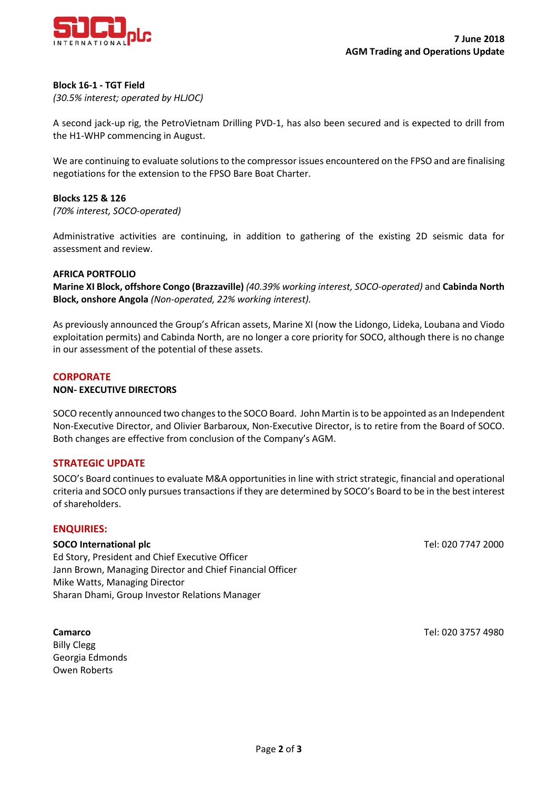

#### **Block 16-1 - TGT Field**

*(30.5% interest; operated by HLJOC)*

A second jack-up rig, the PetroVietnam Drilling PVD-1, has also been secured and is expected to drill from the H1-WHP commencing in August.

We are continuing to evaluate solutions to the compressor issues encountered on the FPSO and are finalising negotiations for the extension to the FPSO Bare Boat Charter.

#### **Blocks 125 & 126**

*(70% interest, SOCO-operated)*

Administrative activities are continuing, in addition to gathering of the existing 2D seismic data for assessment and review.

#### **AFRICA PORTFOLIO**

**Marine XI Block, offshore Congo (Brazzaville)** *(40.39% working interest, SOCO-operated)* and **Cabinda North Block, onshore Angola** *(Non-operated, 22% working interest).*

As previously announced the Group's African assets, Marine XI (now the Lidongo, Lideka, Loubana and Viodo exploitation permits) and Cabinda North, are no longer a core priority for SOCO, although there is no change in our assessment of the potential of these assets.

#### **CORPORATE**

#### **NON- EXECUTIVE DIRECTORS**

SOCO recently announced two changes to the SOCO Board. John Martin is to be appointed as an Independent Non-Executive Director, and Olivier Barbaroux, Non-Executive Director, is to retire from the Board of SOCO. Both changes are effective from conclusion of the Company's AGM.

### **STRATEGIC UPDATE**

SOCO's Board continues to evaluate M&A opportunities in line with strict strategic, financial and operational criteria and SOCO only pursues transactions if they are determined by SOCO's Board to be in the best interest of shareholders.

#### **ENQUIRIES:**

#### **SOCO International plc** Tel: 020 7747 2000

Ed Story, President and Chief Executive Officer Jann Brown, Managing Director and Chief Financial Officer Mike Watts, Managing Director Sharan Dhami, Group Investor Relations Manager

**Camarco** Tel: 020 3757 4980

Billy Clegg Georgia Edmonds Owen Roberts